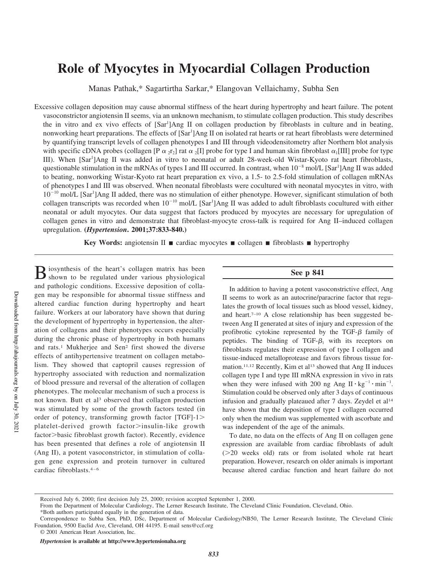# **Role of Myocytes in Myocardial Collagen Production**

Manas Pathak,\* Sagartirtha Sarkar,\* Elangovan Vellaichamy, Subha Sen

Excessive collagen deposition may cause abnormal stiffness of the heart during hypertrophy and heart failure. The potent vasoconstrictor angiotensin II seems, via an unknown mechanism, to stimulate collagen production. This study describes the in vitro and ex vivo effects of [Sar<sup>1</sup>]Ang II on collagen production by fibroblasts in culture and in beating, nonworking heart preparations. The effects of [Sar<sup>1</sup>]Ang II on isolated rat hearts or rat heart fibroblasts were determined by quantifying transcript levels of collagen phenotypes I and III through videodensitometry after Northern blot analysis with specific cDNA probes (collagen [P  $\alpha$  <sub>2</sub>r<sub>2</sub>] rat  $\alpha$  <sub>2</sub>[I] probe for type I and human skin fibroblast  $\alpha$ <sub>1</sub>[III] probe for type III). When [Sar<sup>1</sup>]Ang II was added in vitro to neonatal or adult 28-week-old Wistar-Kyoto rat heart fibroblasts, questionable stimulation in the mRNAs of types I and III occurred. In contrast, when  $10^{-8}$  mol/L [Sar<sup>1</sup>]Ang II was added to beating, nonworking Wistar-Kyoto rat heart preparation ex vivo, a 1.5- to 2.5-fold stimulation of collagen mRNAs of phenotypes I and III was observed. When neonatal fibroblasts were cocultured with neonatal myocytes in vitro, with 10<sup>-10</sup> mol/L [Sar<sup>1</sup>]Ang II added, there was no stimulation of either phenotype. However, significant stimulation of both collagen transcripts was recorded when  $10^{-10}$  mol/L [Sar<sup>1</sup>]Ang II was added to adult fibroblasts cocultured with either neonatal or adult myocytes. Our data suggest that factors produced by myocytes are necessary for upregulation of collagen genes in vitro and demonstrate that fibroblast-myocyte cross-talk is required for Ang II–induced collagen upregulation. **(***Hypertension***. 2001;37:833-840.)**

**Key Words:** angiotensin II **n** cardiac myocytes **n** collagen **n** fibroblasts **n** hypertrophy

B iosynthesis of the heart's collagen matrix has been shown to be regulated under various physiological shown to be regulated under various physiological and pathologic conditions. Excessive deposition of collagen may be responsible for abnormal tissue stiffness and altered cardiac function during hypertrophy and heart failure. Workers at our laboratory have shown that during the development of hypertrophy in hypertension, the alteration of collagens and their phenotypes occurs especially during the chronic phase of hypertrophy in both humans and rats.<sup>1</sup> Mukherjee and Sen<sup>2</sup> first showed the diverse effects of antihypertensive treatment on collagen metabolism. They showed that captopril causes regression of hypertrophy associated with reduction and normalization of blood pressure and reversal of the alteration of collagen phenotypes. The molecular mechanism of such a process is not known. Butt et al<sup>3</sup> observed that collagen production was stimulated by some of the growth factors tested (in order of potency, transforming growth factor  $[TGF]-1$ . platelet-derived growth factor>insulin-like growth factor>basic fibroblast growth factor). Recently, evidence has been presented that defines a role of angiotensin II (Ang II), a potent vasoconstrictor, in stimulation of collagen gene expression and protein turnover in cultured cardiac fibroblasts.4–6

## **See p 841**

In addition to having a potent vasoconstrictive effect, Ang II seems to work as an autocrine/paracrine factor that regulates the growth of local tissues such as blood vessel, kidney, and heart.7–10 A close relationship has been suggested between Ang II generated at sites of injury and expression of the profibrotic cytokine represented by the  $TGF - \beta$  family of peptides. The binding of  $TGF- $\beta_1$  with its receptors on$ fibroblasts regulates their expression of type I collagen and tissue-induced metalloprotease and favors fibrous tissue formation.<sup>11,12</sup> Recently, Kim et al<sup>13</sup> showed that Ang II induces collagen type I and type III mRNA expression in vivo in rats when they were infused with 200 ng Ang  $II \cdot kg^{-1} \cdot min^{-1}$ . Stimulation could be observed only after 3 days of continuous infusion and gradually plateaued after 7 days. Zeydel et al<sup>14</sup> have shown that the deposition of type I collagen occurred only when the medium was supplemented with ascorbate and was independent of the age of the animals.

To date, no data on the effects of Ang II on collagen gene expression are available from cardiac fibroblasts of adult (>20 weeks old) rats or from isolated whole rat heart preparation. However, research on older animals is important because altered cardiac function and heart failure do not

Received July 6, 2000; first decision July 25, 2000; revision accepted September 1, 2000.

From the Department of Molecular Cardiology, The Lerner Research Institute, The Cleveland Clinic Foundation, Cleveland, Ohio.

<sup>\*</sup>Both authors participated equally in the generation of data.

Correspondence to Subha Sen, PhD, DSc, Department of Molecular Cardiology/NB50, The Lerner Research Institute, The Cleveland Clinic Foundation, 9500 Euclid Ave, Cleveland, OH 44195. E-mail sens@ccf.org

<sup>© 2001</sup> American Heart Association, Inc.

*Hypertension* **is available at http://www.hypertensionaha.org**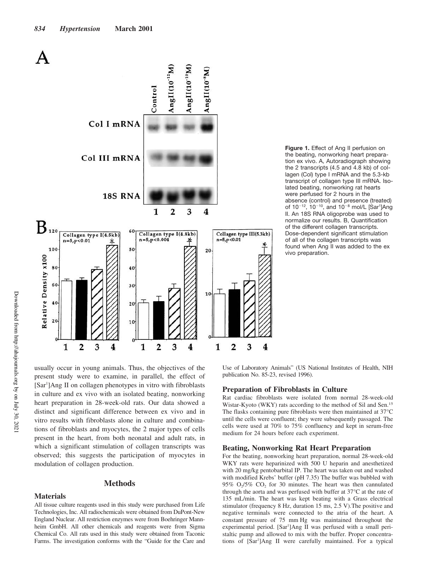

usually occur in young animals. Thus, the objectives of the present study were to examine, in parallel, the effect of [Sar<sup>1</sup>]Ang II on collagen phenotypes in vitro with fibroblasts in culture and ex vivo with an isolated beating, nonworking heart preparation in 28-week-old rats. Our data showed a distinct and significant difference between ex vivo and in vitro results with fibroblasts alone in culture and combinations of fibroblasts and myocytes, the 2 major types of cells present in the heart, from both neonatal and adult rats, in which a significant stimulation of collagen transcripts was observed; this suggests the participation of myocytes in modulation of collagen production.

## **Methods**

**Materials**

All tissue culture reagents used in this study were purchased from Life Technologies, Inc. All radiochemicals were obtained from DuPont-New England Nuclear. All restriction enzymes were from Boehringer Mannheim GmbH. All other chemicals and reagents were from Sigma Chemical Co. All rats used in this study were obtained from Taconic Farms. The investigation conforms with the "Guide for the Care and **Figure 1.** Effect of Ang II perfusion on the beating, nonworking heart preparation ex vivo. A, Autoradiograph showing the 2 transcripts (4.5 and 4.8 kb) of collagen (Col) type I mRNA and the 5.3-kb transcript of collagen type III mRNA. Isolated beating, nonworking rat hearts were perfused for 2 hours in the absence (control) and presence (treated) of 10<sup>-12</sup>, 10<sup>-10</sup>, and 10<sup>-8</sup> mol/L [Sar<sup>1</sup>]Ang II. An 18S RNA oligoprobe was used to normalize our results. B, Quantification of the different collagen transcripts. Dose-dependent significant stimulation of all of the collagen transcripts was found when Ang II was added to the ex vivo preparation.

Use of Laboratory Animals" (US National Institutes of Health, NIH publication No. 85-23, revised 1996).

## **Preparation of Fibroblasts in Culture**

Rat cardiac fibroblasts were isolated from normal 28-week-old Wistar-Kyoto (WKY) rats according to the method of Sil and Sen.<sup>15</sup> The flasks containing pure fibroblasts were then maintained at 37°C until the cells were confluent; they were subsequently passaged. The cells were used at 70% to 75% confluency and kept in serum-free medium for 24 hours before each experiment.

#### **Beating, Nonworking Rat Heart Preparation**

For the beating, nonworking heart preparation, normal 28-week-old WKY rats were heparinized with 500 U heparin and anesthetized with 20 mg/kg pentobarbital IP. The heart was taken out and washed with modified Krebs' buffer (pH 7.35) The buffer was bubbled with 95%  $O_2/5\%$   $CO_2$  for 30 minutes. The heart was then cannulated through the aorta and was perfused with buffer at 37°C at the rate of 135 mL/min. The heart was kept beating with a Grass electrical stimulator (frequency 8 Hz, duration 15 ms, 2.5 V).The positive and negative terminals were connected to the atria of the heart. A constant pressure of 75 mm Hg was maintained throughout the experimental period. [Sar<sup>1</sup>]Ang II was perfused with a small peristaltic pump and allowed to mix with the buffer. Proper concentrations of [Sar<sup>1</sup>]Ang II were carefully maintained. For a typical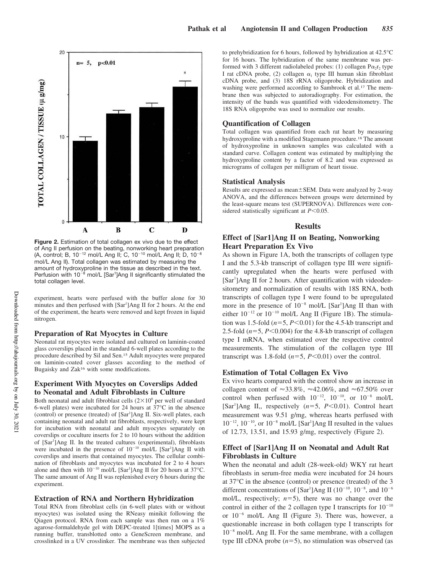

**Figure 2.** Estimation of total collagen ex vivo due to the effect of Ang II perfusion on the beating, nonworking heart preparation (A, control; B, 10<sup>-12</sup> mol/L Ang II; C, 10<sup>-10</sup> mol/L Ang II; D, 10<sup>-8</sup> mol/L Ang II). Total collagen was estimated by measuring the amount of hydroxyproline in the tissue as described in the text. Perfusion with 10<sup>-8</sup> mol/L [Sar<sup>1</sup>]Ang II significantly stimulated the total collagen level.

experiment, hearts were perfused with the buffer alone for 30 minutes and then perfused with [Sar<sup>1</sup>]Ang II for 2 hours. At the end of the experiment, the hearts were removed and kept frozen in liquid nitrogen.

#### **Preparation of Rat Myocytes in Culture**

Neonatal rat myocytes were isolated and cultured on laminin-coated glass coverslips placed in the standard 6-well plates according to the procedure described by Sil and Sen.<sup>15</sup> Adult myocytes were prepared on laminin-coated cover glasses according to the method of Bugaisky and Zak<sup>16</sup> with some modifications.

# **Experiment With Myocytes on Coverslips Added to Neonatal and Adult Fibroblasts in Culture**

Both neonatal and adult fibroblast cells  $(2\times10^6$  per well of standard 6-well plates) were incubated for 24 hours at 37°C in the absence (control) or presence (treated) of [Sar<sup>1</sup>]Ang II. Six-well plates, each containing neonatal and adult rat fibroblasts, respectively, were kept for incubation with neonatal and adult myocytes separately on coverslips or coculture inserts for 2 to 10 hours without the addition of [Sar<sup>1</sup>]Ang II. In the treated cultures (experimental), fibroblasts were incubated in the presence of  $10^{-10}$  mol/L [Sar<sup>1</sup>]Ang II with coverslips and inserts that contained myocytes. The cellular combination of fibroblasts and myocytes was incubated for 2 to 4 hours alone and then with  $10^{-10}$  mol/L [Sar<sup>1</sup>]Ang II for 20 hours at 37°C. The same amount of Ang II was replenished every 6 hours during the experiment.

#### **Extraction of RNA and Northern Hybridization**

Total RNA from fibroblast cells (in 6-well plates with or without myocytes) was isolated using the RNeasy minikit following the Qiagen protocol. RNA from each sample was then run on a 1% agarose-formaldehyde gel with DEPC-treated 1[times] MOPS as a running buffer, transblotted onto a GeneScreen membrane, and crosslinked in a UV crosslinker. The membrane was then subjected to prehybridization for 6 hours, followed by hybridization at 42.5°C for 16 hours. The hybridization of the same membrane was performed with 3 different radiolabeled probes: (1) collagen  $P\alpha_2r_2$  type I rat cDNA probe, (2) collagen  $\alpha_1$  type III human skin fibroblast cDNA probe, and (3) 18S rRNA oligoprobe. Hybridization and washing were performed according to Sambrook et al.<sup>17</sup> The membrane then was subjected to autoradiography. For estimation, the intensity of the bands was quantified with videodensitometry. The 18S RNA oligoprobe was used to normalize our results.

## **Quantification of Collagen**

Total collagen was quantified from each rat heart by measuring hydroxyproline with a modified Stagemann procedure.<sup>18</sup> The amount of hydroxyproline in unknown samples was calculated with a standard curve. Collagen content was estimated by multiplying the hydroxyproline content by a factor of 8.2 and was expressed as micrograms of collagen per milligram of heart tissue.

#### **Statistical Analysis**

Results are expressed as mean ± SEM. Data were analyzed by 2-way ANOVA, and the differences between groups were determined by the least-square means test (SUPERNOVA). Differences were considered statistically significant at  $P$ <0.05.

#### **Results**

## **Effect of [Sar1]Ang II on Beating, Nonworking Heart Preparation Ex Vivo**

As shown in Figure 1A, both the transcripts of collagen type I and the 5.3-kb transcript of collagen type III were significantly upregulated when the hearts were perfused with [Sar<sup>1</sup>]Ang II for 2 hours. After quantification with videodensitometry and normalization of results with 18S RNA, both transcripts of collagen type I were found to be upregulated more in the presence of  $10^{-8}$  mol/L [Sar<sup>1</sup>]Ang II than with either  $10^{-12}$  or  $10^{-10}$  mol/L Ang II (Figure 1B). The stimulation was 1.5-fold  $(n=5, P<0.01)$  for the 4.5-kb transcript and 2.5-fold  $(n=5, P<0.004)$  for the 4.8-kb transcript of collagen type I mRNA, when estimated over the respective control measurements. The stimulation of the collagen type III transcript was 1.8-fold  $(n=5, P<0.01)$  over the control.

## **Estimation of Total Collagen Ex Vivo**

Ex vivo hearts compared with the control show an increase in collagen content of  $\approx 33.8\%$ ,  $\approx 42.06\%$ , and  $\approx 67.50\%$  over control when perfused with  $10^{-12}$ ,  $10^{-10}$ , or  $10^{-8}$  mol/L [Sar<sup>1</sup>]Ang II,, respectively (n=5, P<0.01). Control heart measurement was 9.51 g/mg, whereas hearts perfused with  $10^{-12}$ ,  $10^{-10}$ , or  $10^{-8}$  mol/L [Sar<sup>1</sup>]Ang II resulted in the values of 12.73, 13.51, and 15.93 g/mg, respectively (Figure 2).

## **Effect of [Sar1]Ang II on Neonatal and Adult Rat Fibroblasts in Culture**

When the neonatal and adult (28-week-old) WKY rat heart fibroblasts in serum-free media were incubated for 24 hours at 37°C in the absence (control) or presence (treated) of the 3 different concentrations of  $\left[\text{Sar}^1\right]$ Ang II (10<sup>-10</sup>, 10<sup>-8</sup>, and 10<sup>-6</sup> mol/L, respectively;  $n=5$ ), there was no change over the control in either of the 2 collagen type I transcripts for  $10^{-10}$ or  $10^{-6}$  mol/L Ang II (Figure 3). There was, however, a questionable increase in both collagen type I transcripts for  $10^{-8}$  mol/L Ang II. For the same membrane, with a collagen type III cDNA probe  $(n=5)$ , no stimulation was observed (as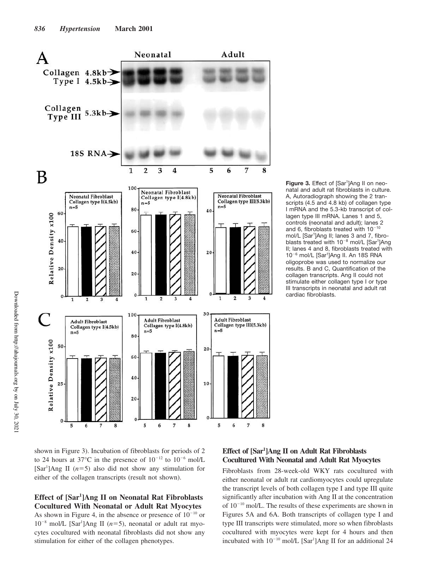

Figure 3. Effect of [Sar<sup>1</sup>]Ang II on neonatal and adult rat fibroblasts in culture. A, Autoradiograph showing the 2 transcripts (4.5 and 4.8 kb) of collagen type I mRNA and the 5.3-kb transcript of collagen type III mRNA. Lanes 1 and 5, controls (neonatal and adult); lanes 2 and 6, fibroblasts treated with  $10^{-10}$ mol/L [Sar<sup>1</sup>]Ang II; lanes 3 and 7, fibroblasts treated with 10<sup>-8</sup> mol/L [Sar<sup>1</sup>]Ang II; lanes 4 and 8, fibroblasts treated with 10<sup>-6</sup> mol/L [Sar<sup>1</sup>]Ang II. An 18S RNA oligoprobe was used to normalize our results. B and C, Quantification of the collagen transcripts. Ang II could not stimulate either collagen type I or type III transcripts in neonatal and adult rat cardiac fibroblasts.



# **Effect of [Sar<sup>1</sup> ]Ang II on Neonatal Rat Fibroblasts Cocultured With Neonatal or Adult Rat Myocytes** As shown in Figure 4, in the absence or presence of  $10^{-10}$  or

 $10^{-8}$  mol/L [Sar<sup>1</sup>]Ang II ( $n=5$ ), neonatal or adult rat myocytes cocultured with neonatal fibroblasts did not show any stimulation for either of the collagen phenotypes.

# **Effect of [Sar<sup>1</sup> ]Ang II on Adult Rat Fibroblasts Cocultured With Neonatal and Adult Rat Myocytes**

Fibroblasts from 28-week-old WKY rats cocultured with either neonatal or adult rat cardiomyocytes could upregulate the transcript levels of both collagen type I and type III quite significantly after incubation with Ang II at the concentration of  $10^{-10}$  mol/L. The results of these experiments are shown in Figures 5A and 6A. Both transcripts of collagen type I and type III transcripts were stimulated, more so when fibroblasts cocultured with myocytes were kept for 4 hours and then incubated with  $10^{-10}$  mol/L [Sar<sup>1</sup>]Ang II for an additional 24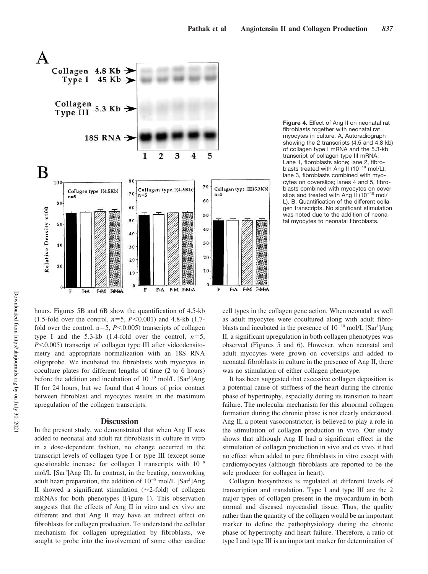

**Figure 4.** Effect of Ang II on neonatal rat fibroblasts together with neonatal rat myocytes in culture. A, Autoradiograph showing the 2 transcripts (4.5 and 4.8 kb) of collagen type I mRNA and the 5.3-kb transcript of collagen type III mRNA. Lane 1, fibroblasts alone; lane 2, fibroblasts treated with Ang II ( $10^{-10}$  mol/L); lane 3, fibroblasts combined with myocytes on coverslips; lanes 4 and 5, fibroblasts combined with myocytes on cover slips and treated with Ang II ( $10^{-10}$  mol/ L). B, Quantification of the different collagen transcripts. No significant stimulation was noted due to the addition of neonatal myocytes to neonatal fibroblasts.

hours. Figures 5B and 6B show the quantification of 4.5-kb (1.5-fold over the control,  $n=5$ ,  $P<0.001$ ) and 4.8-kb (1.7fold over the control,  $n=5$ ,  $P<0.005$ ) transcripts of collagen type I and the 5.3-kb  $(1.4\text{-fold over the control}, n=5,$  $P<0.005$ ) transcript of collagen type III after videodensitometry and appropriate normalization with an 18S RNA oligoprobe. We incubated the fibroblasts with myocytes in coculture plates for different lengths of time (2 to 6 hours) before the addition and incubation of  $10^{-10}$  mol/L [Sar<sup>1</sup>]Ang II for 24 hours, but we found that 4 hours of prior contact between fibroblast and myocytes results in the maximum upregulation of the collagen transcripts.

## **Discussion**

In the present study, we demonstrated that when Ang II was added to neonatal and adult rat fibroblasts in culture in vitro in a dose-dependent fashion, no change occurred in the transcript levels of collagen type I or type III (except some questionable increase for collagen I transcripts with  $10^{-8}$ mol/L [Sar<sup>1</sup>]Ang II). In contrast, in the beating, nonworking adult heart preparation, the addition of  $10^{-8}$  mol/L [Sar<sup>1</sup>]Ang II showed a significant stimulation ( $\approx$ 2-fold) of collagen mRNAs for both phenotypes (Figure 1). This observation suggests that the effects of Ang II in vitro and ex vivo are different and that Ang II may have an indirect effect on fibroblasts for collagen production. To understand the cellular mechanism for collagen upregulation by fibroblasts, we sought to probe into the involvement of some other cardiac cell types in the collagen gene action. When neonatal as well as adult myocytes were cocultured along with adult fibroblasts and incubated in the presence of  $10^{-10}$  mol/L [Sar<sup>1</sup>]Ang II, a significant upregulation in both collagen phenotypes was observed (Figures 5 and 6). However, when neonatal and adult myocytes were grown on coverslips and added to neonatal fibroblasts in culture in the presence of Ang II, there was no stimulation of either collagen phenotype.

It has been suggested that excessive collagen deposition is a potential cause of stiffness of the heart during the chronic phase of hypertrophy, especially during its transition to heart failure. The molecular mechanism for this abnormal collagen formation during the chronic phase is not clearly understood. Ang II, a potent vasoconstrictor, is believed to play a role in the stimulation of collagen production in vivo. Our study shows that although Ang II had a significant effect in the stimulation of collagen production in vivo and ex vivo, it had no effect when added to pure fibroblasts in vitro except with cardiomyocytes (although fibroblasts are reported to be the sole producer for collagen in heart).

Collagen biosynthesis is regulated at different levels of transcription and translation. Type I and type III are the 2 major types of collagen present in the myocardium in both normal and diseased myocardial tissue. Thus, the quality rather than the quantity of the collagen would be an important marker to define the pathophysiology during the chronic phase of hypertrophy and heart failure. Therefore, a ratio of type I and type III is an important marker for determination of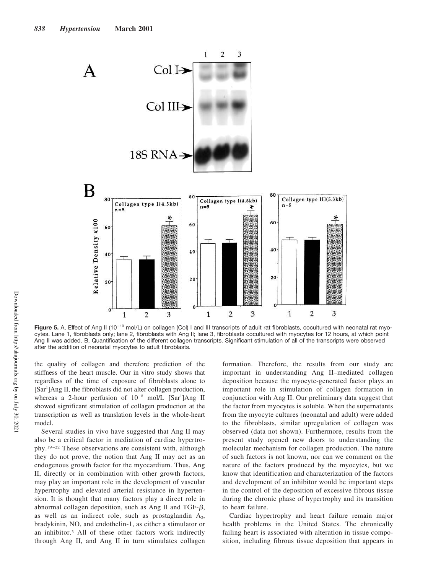

Figure 5. A, Effect of Ang II (10<sup>-10</sup> mol/L) on collagen (Col) I and III transcripts of adult rat fibroblasts, cocultured with neonatal rat myocytes. Lane 1, fibroblasts only; lane 2, fibroblasts with Ang II; lane 3, fibroblasts cocultured with myocytes for 12 hours, at which point Ang II was added. B, Quantification of the different collagen transcripts. Significant stimulation of all of the transcripts were observed after the addition of neonatal myocytes to adult fibroblasts.

the quality of collagen and therefore prediction of the stiffness of the heart muscle. Our in vitro study shows that regardless of the time of exposure of fibroblasts alone to [Sar<sup>1</sup>]Ang II, the fibroblasts did not alter collagen production, whereas a 2-hour perfusion of  $10^{-8}$  mol/L [Sar<sup>1</sup>]Ang II showed significant stimulation of collagen production at the transcription as well as translation levels in the whole-heart model.

Several studies in vivo have suggested that Ang II may also be a critical factor in mediation of cardiac hypertrophy.19–22 These observations are consistent with, although they do not prove, the notion that Ang II may act as an endogenous growth factor for the myocardium. Thus, Ang II, directly or in combination with other growth factors, may play an important role in the development of vascular hypertrophy and elevated arterial resistance in hypertension. It is thought that many factors play a direct role in abnormal collagen deposition, such as Ang II and TGF- $\beta$ , as well as an indirect role, such as prostaglandin  $A_2$ , bradykinin, NO, and endothelin-1, as either a stimulator or an inhibitor.<sup>3</sup> All of these other factors work indirectly through Ang II, and Ang II in turn stimulates collagen

formation. Therefore, the results from our study are important in understanding Ang II–mediated collagen deposition because the myocyte-generated factor plays an important role in stimulation of collagen formation in conjunction with Ang II. Our preliminary data suggest that the factor from myocytes is soluble. When the supernatants from the myocyte cultures (neonatal and adult) were added to the fibroblasts, similar upregulation of collagen was observed (data not shown). Furthermore, results from the present study opened new doors to understanding the molecular mechanism for collagen production. The nature of such factors is not known, nor can we comment on the nature of the factors produced by the myocytes, but we know that identification and characterization of the factors and development of an inhibitor would be important steps in the control of the deposition of excessive fibrous tissue during the chronic phase of hypertrophy and its transition to heart failure.

Cardiac hypertrophy and heart failure remain major health problems in the United States. The chronically failing heart is associated with alteration in tissue composition, including fibrous tissue deposition that appears in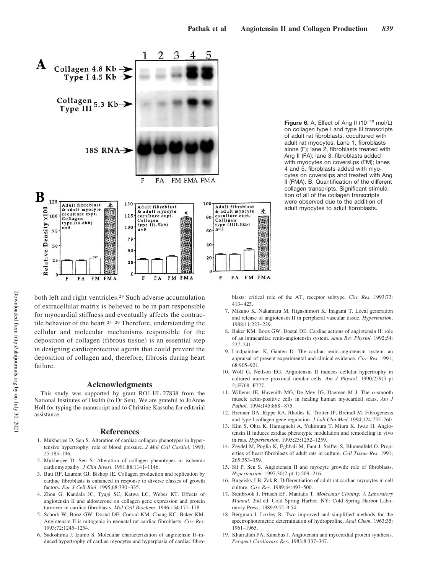

**Figure 6.** A, Effect of Ang II  $(10^{-10} \text{ mol/L})$ on collagen type I and type III transcripts of adult rat fibroblasts, cocultured with adult rat myocytes. Lane 1, fibroblasts alone (F); lane 2, fibroblasts treated with Ang II (FA); lane 3, fibroblasts added with myocytes on coverslips (FM); lanes 4 and 5, fibroblasts added with myocytes on coverslips and treated with Ang II (FMA). B, Quantification of the different collagen transcripts. Significant stimulation of all of the collagen transcripts were observed due to the addition of adult myocytes to adult fibroblasts.

both left and right ventricles.<sup>23</sup> Such adverse accumulation of extracellular matrix is believed to be in part responsible for myocardial stiffness and eventually affects the contractile behavior of the heart.<sup>24–29</sup> Therefore, understanding the cellular and molecular mechanisms responsible for the deposition of collagen (fibrous tissue) is an essential step in designing cardioprotective agents that could prevent the deposition of collagen and, therefore, fibrosis during heart failure.

#### **Acknowledgments**

This study was supported by grant RO1-HL-27838 from the National Institutes of Health (to Dr Sen). We are grateful to JoAnne Holl for typing the manuscript and to Christine Kassuba for editorial assistance.

#### **References**

- 1. Mukherjee D, Sen S. Alteration of cardiac collagen phenotypes in hypertensive hypertrophy: role of blood pressure. *J Mol Cell Cardiol*. 1993; 25:185–196.
- 2. Mukherjee D, Sen S. Alteration of collagen phenotypes in ischemic cardiomyopathy. *J Clin Invest*. 1991;88:1141–1146.
- 3. Butt RP, Laurent GJ, Bishop JE. Collagen production and replication by cardiac fibroblasts is enhanced in response to diverse classes of growth factors. *Eur J Cell Biol*. 1995;68:330–335.
- 4. Zhou G, Kandala JC, Tyagi SC, Katwa LC, Weber KT. Effects of angiotensin II and aldosterone on collagen gene expression and protein turnover in cardiac fibroblasts. *Mol Cell Biochem*. 1996;154:171–178.
- 5. Schorb W, Booz GW, Dostal DE, Conrad KM, Chang KC, Baker KM. Angiotensin II is mitogenic in neonatal rat cardiac fibroblasts. *Circ Res*. 1993;72:1245–1254.
- 6. Sadoshima J, Izumo S. Molecular characterization of angiotensin II–induced hypertrophy of cardiac myocytes and hyperplasia of cardiac fibro-

blasts: critical role of the AT<sub>1</sub> receptor subtype. *Circ Res*. 1993;73: 413–423.

- 7. Mizuno K, Nakamaru M, Higashimori K, Inagami T. Local generation and release of angiotensin II in peripheral vascular tissue. *Hypertension*. 1988;11:223–229.
- 8. Baker KM, Booz GW, Dostal DE. Cardiac actions of angiotensin II: role of an intracardiac renin-angiotensin system. *Annu Rev Physiol*. 1992;54:  $227 - 241$
- 9. Lindpaintner K, Ganten D. The cardiac renin-angiotensin system: an appraisal of present experimental and clinical evidence. *Circ Res*. 1991; 68:905–921.
- 10. Wolf G, Neilson EG. Angiotensin II induces cellular hypertrophy in cultured murine proximal tubular cells. *Am J Physiol*. 1990;259(5 pt 2):F768–F777.
- 11. Willems IE, Havenith MG, De Mey JG, Daemen M J. The  $\alpha$ -smooth muscle actin-positive cells in healing human myocardial scars. *Am J Pathol*. 1994;145:868–875.
- 12. Brenner DA, Rippe RA, Rhodes K, Trotter JF, Breindl M. Fibrogenesis and type I collagen gene regulation. *J Lab Clin Med*. 1994;124:755–760.
- 13. Kim S, Ohta K, Hamaguchi A, Yukimura T, Miura K, Iwao H. Angiotensin II induces cardiac phenotypic modulation and remodeling in vivo in rats. *Hypertension*. 1995;25:1252–1259.
- 14. Zeydel M, Puglia K, Eghbali M, Fant J, Seifter S, Blumenfeld O. Properties of heart fibroblasts of adult rats in culture. *Cell Tissue Res*. 1991; 265:353–359.
- 15. Sil P, Sen S. Angiotensin II and myocyte growth: role of fibroblasts. *Hypertension*. 1997;30(2 pt 1):209–216.
- 16. Bugaisky LB, Zak R. Differentiation of adult rat cardiac myocytes in cell culture. *Circ Res*. 1989;64:493–500.
- 17. Sambrook J, Fritsch EF, Maniatis T. *Molecular Cloning: A Laboratory Manual*, 2nd ed. Cold Spring Harbor, NY: Cold Spring Harbor Laboratory Press; 1989:9.52–9.54.
- 18. Bergman I, Loxley R. Two improved and simplified methods for the spectrophotometric determination of hydroproline. *Anal Chem*. 1963;35: 1961–1965.
- 19. Khairallah PA, Kanabus J. Angiotensin and myocardial protein synthesis. *Perspect Cardiovasc Res*. 1983;8:337–347.